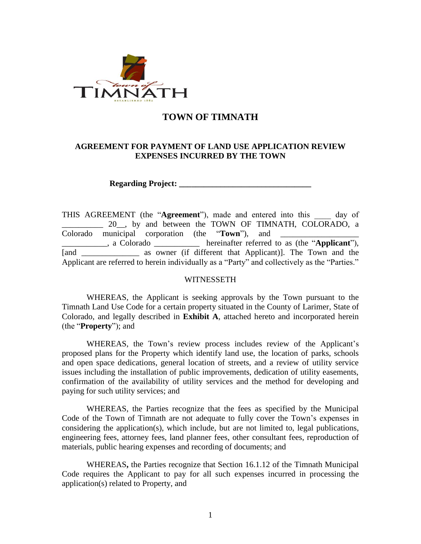

## **TOWN OF TIMNATH**

#### **AGREEMENT FOR PAYMENT OF LAND USE APPLICATION REVIEW EXPENSES INCURRED BY THE TOWN**

**Regarding Project: \_\_\_\_\_\_\_\_\_\_\_\_\_\_\_\_\_\_\_\_\_\_\_\_\_\_\_\_\_\_\_\_**

THIS AGREEMENT (the "**Agreement**"), made and entered into this \_\_\_\_ day of 20<sub>\_\_</sub>, by and between the TOWN OF TIMNATH, COLORADO, a Colorado municipal corporation (the "**Town**"), and \_\_\_\_\_\_\_\_\_\_\_, a Colorado \_\_\_\_\_\_\_\_\_\_\_ hereinafter referred to as (the "**Applicant**"), [and \_\_\_\_\_\_\_\_\_\_\_\_\_\_\_\_\_ as owner (if different that Applicant)]. The Town and the Applicant are referred to herein individually as a "Party" and collectively as the "Parties."

#### WITNESSETH

WHEREAS, the Applicant is seeking approvals by the Town pursuant to the Timnath Land Use Code for a certain property situated in the County of Larimer, State of Colorado, and legally described in **Exhibit A**, attached hereto and incorporated herein (the "**Property**"); and

WHEREAS, the Town's review process includes review of the Applicant's proposed plans for the Property which identify land use, the location of parks, schools and open space dedications, general location of streets, and a review of utility service issues including the installation of public improvements, dedication of utility easements, confirmation of the availability of utility services and the method for developing and paying for such utility services; and

WHEREAS, the Parties recognize that the fees as specified by the Municipal Code of the Town of Timnath are not adequate to fully cover the Town's expenses in considering the application(s), which include, but are not limited to, legal publications, engineering fees, attorney fees, land planner fees, other consultant fees, reproduction of materials, public hearing expenses and recording of documents; and

WHEREAS**,** the Parties recognize that Section 16.1.12 of the Timnath Municipal Code requires the Applicant to pay for all such expenses incurred in processing the application(s) related to Property, and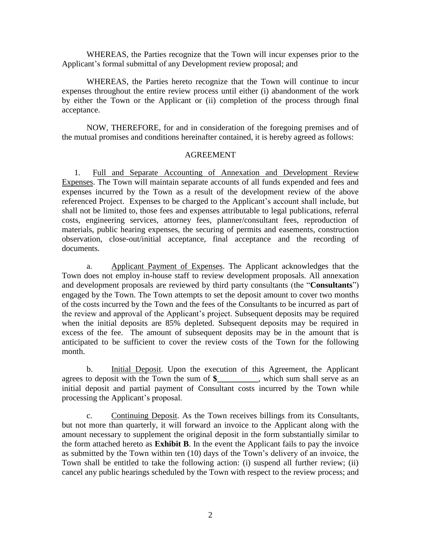WHEREAS, the Parties recognize that the Town will incur expenses prior to the Applicant's formal submittal of any Development review proposal; and

WHEREAS, the Parties hereto recognize that the Town will continue to incur expenses throughout the entire review process until either (i) abandonment of the work by either the Town or the Applicant or (ii) completion of the process through final acceptance.

NOW, THEREFORE, for and in consideration of the foregoing premises and of the mutual promises and conditions hereinafter contained, it is hereby agreed as follows:

#### AGREEMENT

1. Full and Separate Accounting of Annexation and Development Review Expenses. The Town will maintain separate accounts of all funds expended and fees and expenses incurred by the Town as a result of the development review of the above referenced Project. Expenses to be charged to the Applicant's account shall include, but shall not be limited to, those fees and expenses attributable to legal publications, referral costs, engineering services, attorney fees, planner/consultant fees, reproduction of materials, public hearing expenses, the securing of permits and easements, construction observation, close-out/initial acceptance, final acceptance and the recording of documents.

a. Applicant Payment of Expenses. The Applicant acknowledges that the Town does not employ in-house staff to review development proposals. All annexation and development proposals are reviewed by third party consultants (the "**Consultants**") engaged by the Town. The Town attempts to set the deposit amount to cover two months of the costs incurred by the Town and the fees of the Consultants to be incurred as part of the review and approval of the Applicant's project. Subsequent deposits may be required when the initial deposits are 85% depleted. Subsequent deposits may be required in excess of the fee. The amount of subsequent deposits may be in the amount that is anticipated to be sufficient to cover the review costs of the Town for the following month.

b. Initial Deposit. Upon the execution of this Agreement, the Applicant agrees to deposit with the Town the sum of **\$\_\_\_\_\_\_\_\_\_\_**, which sum shall serve as an initial deposit and partial payment of Consultant costs incurred by the Town while processing the Applicant's proposal.

c. Continuing Deposit. As the Town receives billings from its Consultants, but not more than quarterly, it will forward an invoice to the Applicant along with the amount necessary to supplement the original deposit in the form substantially similar to the form attached hereto as **Exhibit B**. In the event the Applicant fails to pay the invoice as submitted by the Town within ten (10) days of the Town's delivery of an invoice, the Town shall be entitled to take the following action: (i) suspend all further review; (ii) cancel any public hearings scheduled by the Town with respect to the review process; and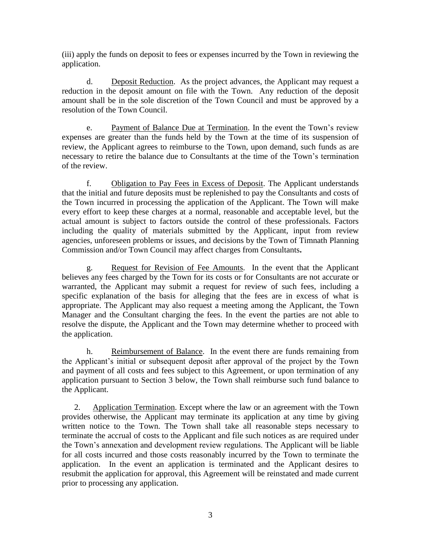(iii) apply the funds on deposit to fees or expenses incurred by the Town in reviewing the application.

d. Deposit Reduction. As the project advances, the Applicant may request a reduction in the deposit amount on file with the Town. Any reduction of the deposit amount shall be in the sole discretion of the Town Council and must be approved by a resolution of the Town Council.

e. Payment of Balance Due at Termination. In the event the Town's review expenses are greater than the funds held by the Town at the time of its suspension of review, the Applicant agrees to reimburse to the Town, upon demand, such funds as are necessary to retire the balance due to Consultants at the time of the Town's termination of the review.

f. Obligation to Pay Fees in Excess of Deposit. The Applicant understands that the initial and future deposits must be replenished to pay the Consultants and costs of the Town incurred in processing the application of the Applicant. The Town will make every effort to keep these charges at a normal, reasonable and acceptable level, but the actual amount is subject to factors outside the control of these professionals. Factors including the quality of materials submitted by the Applicant, input from review agencies, unforeseen problems or issues, and decisions by the Town of Timnath Planning Commission and/or Town Council may affect charges from Consultants**.**

g. Request for Revision of Fee Amounts. In the event that the Applicant believes any fees charged by the Town for its costs or for Consultants are not accurate or warranted, the Applicant may submit a request for review of such fees, including a specific explanation of the basis for alleging that the fees are in excess of what is appropriate. The Applicant may also request a meeting among the Applicant, the Town Manager and the Consultant charging the fees. In the event the parties are not able to resolve the dispute, the Applicant and the Town may determine whether to proceed with the application.

h. Reimbursement of Balance. In the event there are funds remaining from the Applicant's initial or subsequent deposit after approval of the project by the Town and payment of all costs and fees subject to this Agreement, or upon termination of any application pursuant to Section 3 below, the Town shall reimburse such fund balance to the Applicant.

2. Application Termination. Except where the law or an agreement with the Town provides otherwise, the Applicant may terminate its application at any time by giving written notice to the Town. The Town shall take all reasonable steps necessary to terminate the accrual of costs to the Applicant and file such notices as are required under the Town's annexation and development review regulations. The Applicant will be liable for all costs incurred and those costs reasonably incurred by the Town to terminate the application. In the event an application is terminated and the Applicant desires to resubmit the application for approval, this Agreement will be reinstated and made current prior to processing any application.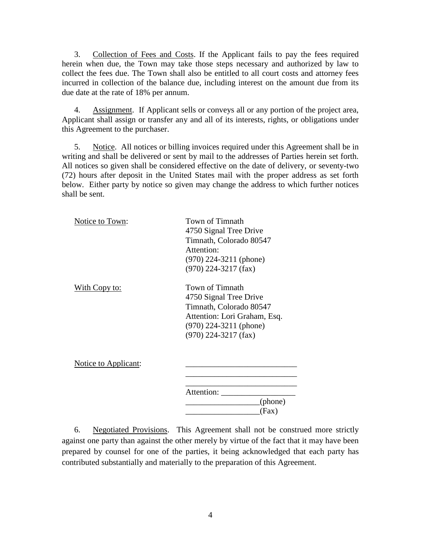3. Collection of Fees and Costs. If the Applicant fails to pay the fees required herein when due, the Town may take those steps necessary and authorized by law to collect the fees due. The Town shall also be entitled to all court costs and attorney fees incurred in collection of the balance due, including interest on the amount due from its due date at the rate of 18% per annum.

4. Assignment. If Applicant sells or conveys all or any portion of the project area, Applicant shall assign or transfer any and all of its interests, rights, or obligations under this Agreement to the purchaser.

5. Notice. All notices or billing invoices required under this Agreement shall be in writing and shall be delivered or sent by mail to the addresses of Parties herein set forth. All notices so given shall be considered effective on the date of delivery, or seventy-two (72) hours after deposit in the United States mail with the proper address as set forth below. Either party by notice so given may change the address to which further notices shall be sent.

| Notice to Town:      | Town of Timnath<br>4750 Signal Tree Drive<br>Timnath, Colorado 80547<br>Attention:<br>$(970)$ 224-3211 (phone)<br>$(970)$ 224-3217 (fax)                   |
|----------------------|------------------------------------------------------------------------------------------------------------------------------------------------------------|
| <u>With Copy to:</u> | Town of Timnath<br>4750 Signal Tree Drive<br>Timnath, Colorado 80547<br>Attention: Lori Graham, Esq.<br>$(970)$ 224-3211 (phone)<br>$(970)$ 224-3217 (fax) |
| Notice to Applicant: |                                                                                                                                                            |
|                      | Attention:<br>(phone)<br>(Fax)                                                                                                                             |

6. Negotiated Provisions. This Agreement shall not be construed more strictly against one party than against the other merely by virtue of the fact that it may have been prepared by counsel for one of the parties, it being acknowledged that each party has contributed substantially and materially to the preparation of this Agreement.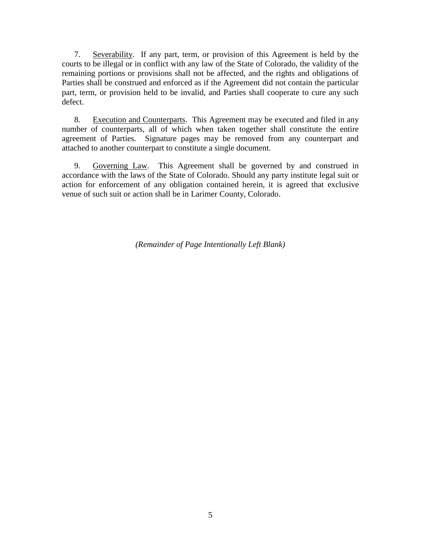7. Severability. If any part, term, or provision of this Agreement is held by the courts to be illegal or in conflict with any law of the State of Colorado, the validity of the remaining portions or provisions shall not be affected, and the rights and obligations of Parties shall be construed and enforced as if the Agreement did not contain the particular part, term, or provision held to be invalid, and Parties shall cooperate to cure any such defect.

8. Execution and Counterparts. This Agreement may be executed and filed in any number of counterparts, all of which when taken together shall constitute the entire agreement of Parties. Signature pages may be removed from any counterpart and attached to another counterpart to constitute a single document.

9. Governing Law. This Agreement shall be governed by and construed in accordance with the laws of the State of Colorado. Should any party institute legal suit or action for enforcement of any obligation contained herein, it is agreed that exclusive venue of such suit or action shall be in Larimer County, Colorado.

*(Remainder of Page Intentionally Left Blank)*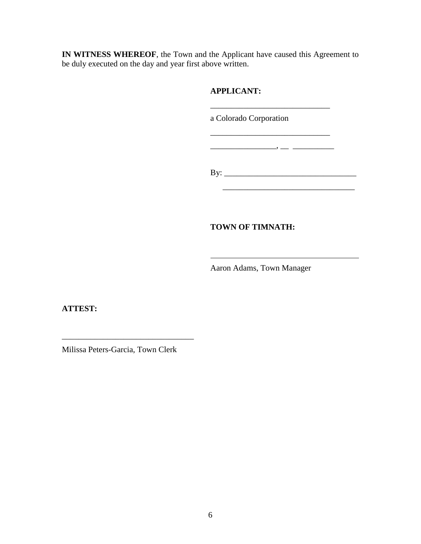**IN WITNESS WHEREOF**, the Town and the Applicant have caused this Agreement to be duly executed on the day and year first above written.

## **APPLICANT:**

a Colorado Corporation

\_\_\_\_\_\_\_\_\_\_\_\_\_\_\_\_\_\_\_\_\_\_\_\_\_\_\_\_\_

 $\mathcal{L}=\{1,2,3,4,5\}$  , we can assume that the contract of  $\mathcal{L}=\{1,2,3,4,5\}$ 

\_\_\_\_\_\_\_\_\_\_\_\_\_\_\_\_, \_\_ \_\_\_\_\_\_\_\_\_\_

By: \_\_\_\_\_\_\_\_\_\_\_\_\_\_\_\_\_\_\_\_\_\_\_\_\_\_\_\_\_\_\_\_

### **TOWN OF TIMNATH:**

Aaron Adams, Town Manager

**ATTEST:**

Milissa Peters-Garcia, Town Clerk

\_\_\_\_\_\_\_\_\_\_\_\_\_\_\_\_\_\_\_\_\_\_\_\_\_\_\_\_\_\_\_\_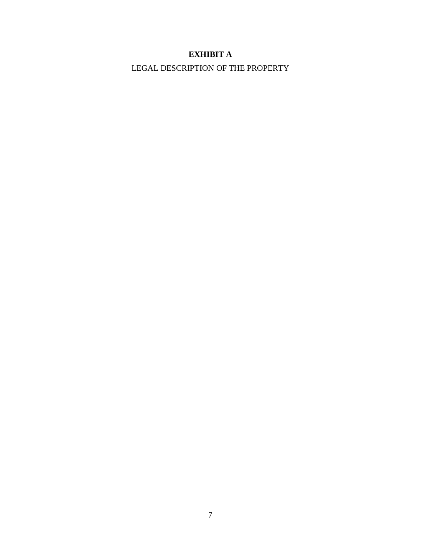## **EXHIBIT A**

LEGAL DESCRIPTION OF THE PROPERTY